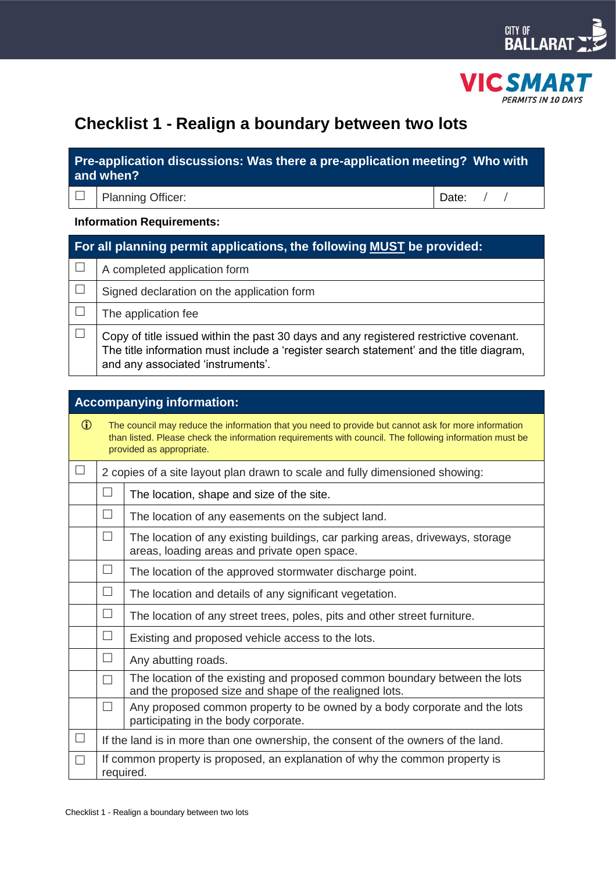



# **Checklist 1 - Realign a boundary between two lots**

# **Pre-application discussions: Was there a pre-application meeting? Who with and when?**

Planning Officer: Date: / /

## **Information Requirements:**

| For all planning permit applications, the following MUST be provided: |                                                                                                                                                                                                                       |  |  |
|-----------------------------------------------------------------------|-----------------------------------------------------------------------------------------------------------------------------------------------------------------------------------------------------------------------|--|--|
|                                                                       | A completed application form                                                                                                                                                                                          |  |  |
|                                                                       | Signed declaration on the application form                                                                                                                                                                            |  |  |
|                                                                       | The application fee                                                                                                                                                                                                   |  |  |
|                                                                       | Copy of title issued within the past 30 days and any registered restrictive covenant.<br>The title information must include a 'register search statement' and the title diagram,<br>and any associated 'instruments'. |  |  |

| <b>Accompanying information:</b> |                                                                                                                                                                                                                                           |                                                                                                                                      |  |  |
|----------------------------------|-------------------------------------------------------------------------------------------------------------------------------------------------------------------------------------------------------------------------------------------|--------------------------------------------------------------------------------------------------------------------------------------|--|--|
| $\mathbf{r}$                     | The council may reduce the information that you need to provide but cannot ask for more information<br>than listed. Please check the information requirements with council. The following information must be<br>provided as appropriate. |                                                                                                                                      |  |  |
|                                  | 2 copies of a site layout plan drawn to scale and fully dimensioned showing:                                                                                                                                                              |                                                                                                                                      |  |  |
|                                  | $\Box$                                                                                                                                                                                                                                    | The location, shape and size of the site.                                                                                            |  |  |
|                                  | $\Box$                                                                                                                                                                                                                                    | The location of any easements on the subject land.                                                                                   |  |  |
|                                  | $\Box$                                                                                                                                                                                                                                    | The location of any existing buildings, car parking areas, driveways, storage<br>areas, loading areas and private open space.        |  |  |
|                                  | $\Box$                                                                                                                                                                                                                                    | The location of the approved stormwater discharge point.                                                                             |  |  |
|                                  | $\Box$                                                                                                                                                                                                                                    | The location and details of any significant vegetation.                                                                              |  |  |
|                                  | $\Box$                                                                                                                                                                                                                                    | The location of any street trees, poles, pits and other street furniture.                                                            |  |  |
|                                  | П                                                                                                                                                                                                                                         | Existing and proposed vehicle access to the lots.                                                                                    |  |  |
|                                  | $\Box$                                                                                                                                                                                                                                    | Any abutting roads.                                                                                                                  |  |  |
|                                  | П                                                                                                                                                                                                                                         | The location of the existing and proposed common boundary between the lots<br>and the proposed size and shape of the realigned lots. |  |  |
|                                  | П                                                                                                                                                                                                                                         | Any proposed common property to be owned by a body corporate and the lots<br>participating in the body corporate.                    |  |  |
|                                  | If the land is in more than one ownership, the consent of the owners of the land.                                                                                                                                                         |                                                                                                                                      |  |  |
|                                  | If common property is proposed, an explanation of why the common property is<br>required.                                                                                                                                                 |                                                                                                                                      |  |  |